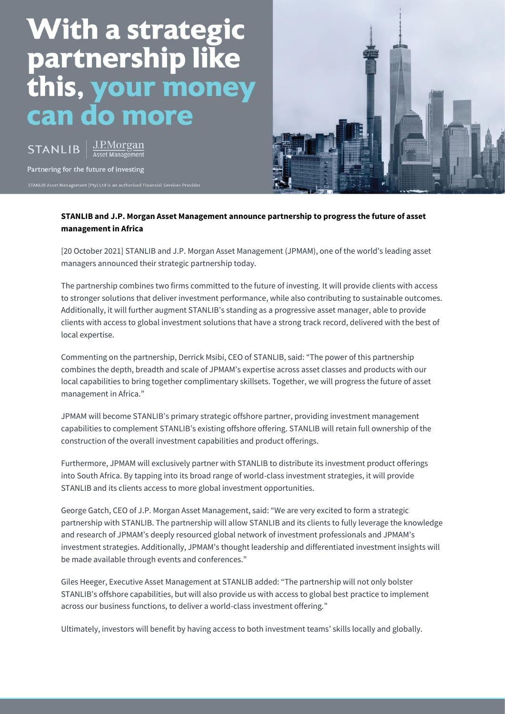# With a strategic<br>partnership like this. money  $\bullet$ **CO**  $\bullet$  $\bullet$ m

J.P.Morgan **STANLIB** 

Partnering for the future of investing



# **STANLIB and J.P. Morgan Asset Management announce partnership to progress the future of asset management in Africa**

[20 October 2021] STANLIB and J.P. Morgan Asset Management (JPMAM), one of the world's leading asset managers announced their strategic partnership today.

The partnership combines two firms committed to the future of investing. It will provide clients with access to stronger solutions that deliver investment performance, while also contributing to sustainable outcomes. Additionally, it will further augment STANLIB's standing as a progressive asset manager, able to provide clients with access to global investment solutions that have a strong track record, delivered with the best of local expertise.

Commenting on the partnership, Derrick Msibi, CEO of STANLIB, said: "The power of this partnership combines the depth, breadth and scale of JPMAM's expertise across asset classes and products with our local capabilities to bring together complimentary skillsets. Together, we will progress the future of asset management in Africa."

JPMAM will become STANLIB's primary strategic offshore partner, providing investment management capabilities to complement STANLIB's existing offshore offering. STANLIB will retain full ownership of the construction of the overall investment capabilities and product offerings.

Furthermore, JPMAM will exclusively partner with STANLIB to distribute its investment product offerings into South Africa. By tapping into its broad range of world-class investment strategies, it will provide STANLIB and its clients access to more global investment opportunities.

George Gatch, CEO of J.P. Morgan Asset Management, said: "We are very excited to form a strategic partnership with STANLIB. The partnership will allow STANLIB and its clients to fully leverage the knowledge and research of JPMAM's deeply resourced global network of investment professionals and JPMAM's investment strategies. Additionally, JPMAM's thought leadership and differentiated investment insights will be made available through events and conferences."

Giles Heeger, Executive Asset Management at STANLIB added: "The partnership will not only bolster STANLIB's offshore capabilities, but will also provide us with access to global best practice to implement across our business functions, to deliver a world-class investment offering."

Ultimately, investors will benefit by having access to both investment teams' skills locally and globally.